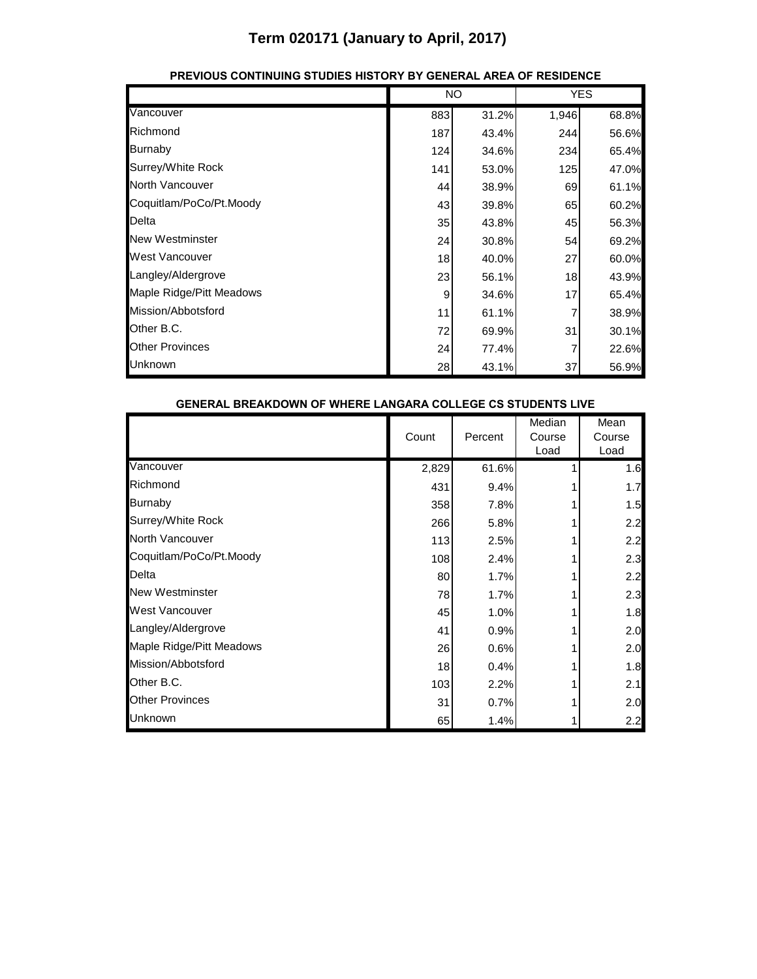|                          | <b>NO</b> |       | <b>YES</b> |       |
|--------------------------|-----------|-------|------------|-------|
| Vancouver                | 883       | 31.2% | 1,946      | 68.8% |
| Richmond                 | 187       | 43.4% | 244        | 56.6% |
| Burnaby                  | 124       | 34.6% | 234        | 65.4% |
| Surrey/White Rock        | 141       | 53.0% | 125        | 47.0% |
| North Vancouver          | 44        | 38.9% | 69         | 61.1% |
| Coquitlam/PoCo/Pt.Moody  | 43        | 39.8% | 65         | 60.2% |
| Delta                    | 35        | 43.8% | 45         | 56.3% |
| <b>New Westminster</b>   | 24        | 30.8% | 54         | 69.2% |
| <b>West Vancouver</b>    | 18        | 40.0% | 27         | 60.0% |
| Langley/Aldergrove       | 23        | 56.1% | 18         | 43.9% |
| Maple Ridge/Pitt Meadows | 9         | 34.6% | 17         | 65.4% |
| Mission/Abbotsford       | 11        | 61.1% | 7          | 38.9% |
| Other B.C.               | 72        | 69.9% | 31         | 30.1% |
| <b>Other Provinces</b>   | 24        | 77.4% |            | 22.6% |
| Unknown                  | 28        | 43.1% | 37         | 56.9% |

### **PREVIOUS CONTINUING STUDIES HISTORY BY GENERAL AREA OF RESIDENCE**

| GENERAL BREAKDOWN OF WHERE LANGARA COLLEGE CS STUDENTS LIVE |  |       |         |                          |                        |
|-------------------------------------------------------------|--|-------|---------|--------------------------|------------------------|
|                                                             |  | Count | Percent | Median<br>Course<br>Load | Mean<br>Course<br>Load |
| Vancouver                                                   |  | 2,829 | 61.6%   |                          | 1.6                    |
| Richmond                                                    |  | 431   | 9.4%    |                          | 1.7                    |
| <b>Burnaby</b>                                              |  | 358   | 7.8%    |                          | 1.5                    |
| Surrey/White Rock                                           |  | 266   | 5.8%    |                          | 2.2                    |
| North Vancouver                                             |  | 113   | 2.5%    |                          | 2.2                    |
| Coquitlam/PoCo/Pt.Moody                                     |  | 108   | 2.4%    |                          | 2.3                    |
| Delta                                                       |  | 80    | 1.7%    |                          | 2.2                    |
| <b>New Westminster</b>                                      |  | 78    | 1.7%    |                          | 2.3                    |
| West Vancouver                                              |  | 45    | 1.0%    |                          | 1.8                    |
| Langley/Aldergrove                                          |  | 41    | 0.9%    |                          | 2.0                    |
| Maple Ridge/Pitt Meadows                                    |  | 26    | 0.6%    |                          | 2.0                    |
| Mission/Abbotsford                                          |  | 18    | 0.4%    |                          | 1.8                    |
| Other B.C.                                                  |  | 103   | 2.2%    |                          | 2.1                    |
| <b>Other Provinces</b>                                      |  | 31    | 0.7%    |                          | 2.0                    |
| Unknown                                                     |  | 65    | 1.4%    |                          | 2.2                    |

#### **GENERAL BREAKDOWN OF WHERE LANGARA COLLEGE CS STUDENTS LIVE**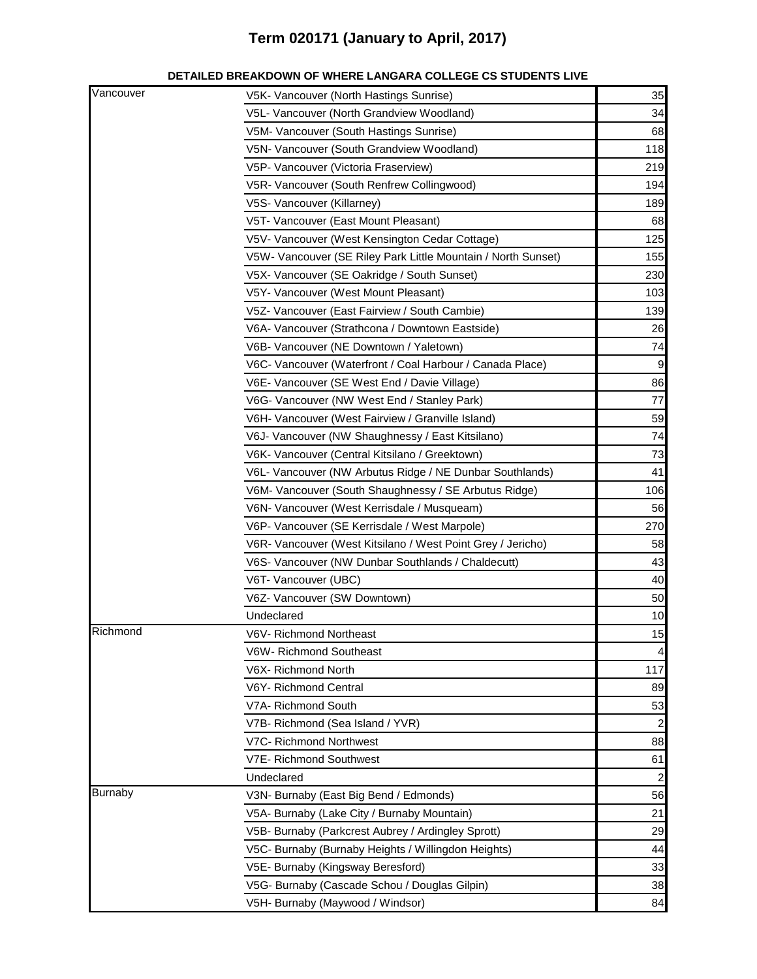| Vancouver      | V5K- Vancouver (North Hastings Sunrise)                       | 35             |
|----------------|---------------------------------------------------------------|----------------|
|                | V5L- Vancouver (North Grandview Woodland)                     | 34             |
|                | V5M- Vancouver (South Hastings Sunrise)                       | 68             |
|                | V5N- Vancouver (South Grandview Woodland)                     | 118            |
|                | V5P- Vancouver (Victoria Fraserview)                          | 219            |
|                | V5R- Vancouver (South Renfrew Collingwood)                    | 194            |
|                | V5S- Vancouver (Killarney)                                    | 189            |
|                | V5T- Vancouver (East Mount Pleasant)                          | 68             |
|                | V5V- Vancouver (West Kensington Cedar Cottage)                | 125            |
|                | V5W- Vancouver (SE Riley Park Little Mountain / North Sunset) | 155            |
|                | V5X- Vancouver (SE Oakridge / South Sunset)                   | 230            |
|                | V5Y- Vancouver (West Mount Pleasant)                          | 103            |
|                | V5Z- Vancouver (East Fairview / South Cambie)                 | 139            |
|                | V6A- Vancouver (Strathcona / Downtown Eastside)               | 26             |
|                | V6B- Vancouver (NE Downtown / Yaletown)                       | 74             |
|                | V6C- Vancouver (Waterfront / Coal Harbour / Canada Place)     | 9              |
|                | V6E- Vancouver (SE West End / Davie Village)                  | 86             |
|                | V6G- Vancouver (NW West End / Stanley Park)                   | 77             |
|                | V6H- Vancouver (West Fairview / Granville Island)             | 59             |
|                | V6J- Vancouver (NW Shaughnessy / East Kitsilano)              | 74             |
|                | V6K- Vancouver (Central Kitsilano / Greektown)                | 73             |
|                | V6L- Vancouver (NW Arbutus Ridge / NE Dunbar Southlands)      | 41             |
|                | V6M- Vancouver (South Shaughnessy / SE Arbutus Ridge)         | 106            |
|                | V6N- Vancouver (West Kerrisdale / Musqueam)                   | 56             |
|                | V6P- Vancouver (SE Kerrisdale / West Marpole)                 | 270            |
|                | V6R- Vancouver (West Kitsilano / West Point Grey / Jericho)   | 58             |
|                | V6S- Vancouver (NW Dunbar Southlands / Chaldecutt)            | 43             |
|                | V6T- Vancouver (UBC)                                          | 40             |
|                | V6Z- Vancouver (SW Downtown)                                  | 50             |
|                | Undeclared                                                    | 10             |
| Richmond       | V6V- Richmond Northeast                                       | 15             |
|                | V6W- Richmond Southeast                                       | $\overline{4}$ |
|                | V6X- Richmond North                                           | 117            |
|                | V6Y- Richmond Central                                         | 89             |
|                | V7A- Richmond South                                           | 53             |
|                | V7B- Richmond (Sea Island / YVR)                              | $\overline{c}$ |
|                | V7C- Richmond Northwest                                       | 88             |
|                | V7E- Richmond Southwest                                       | 61             |
|                | Undeclared                                                    | $\overline{c}$ |
| <b>Burnaby</b> | V3N- Burnaby (East Big Bend / Edmonds)                        | 56             |
|                | V5A- Burnaby (Lake City / Burnaby Mountain)                   | 21             |
|                | V5B- Burnaby (Parkcrest Aubrey / Ardingley Sprott)            | 29             |
|                | V5C- Burnaby (Burnaby Heights / Willingdon Heights)           | 44             |
|                | V5E- Burnaby (Kingsway Beresford)                             | 33             |
|                | V5G- Burnaby (Cascade Schou / Douglas Gilpin)                 | 38             |
|                | V5H- Burnaby (Maywood / Windsor)                              | 84             |
|                |                                                               |                |

#### **DETAILED BREAKDOWN OF WHERE LANGARA COLLEGE CS STUDENTS LIVE**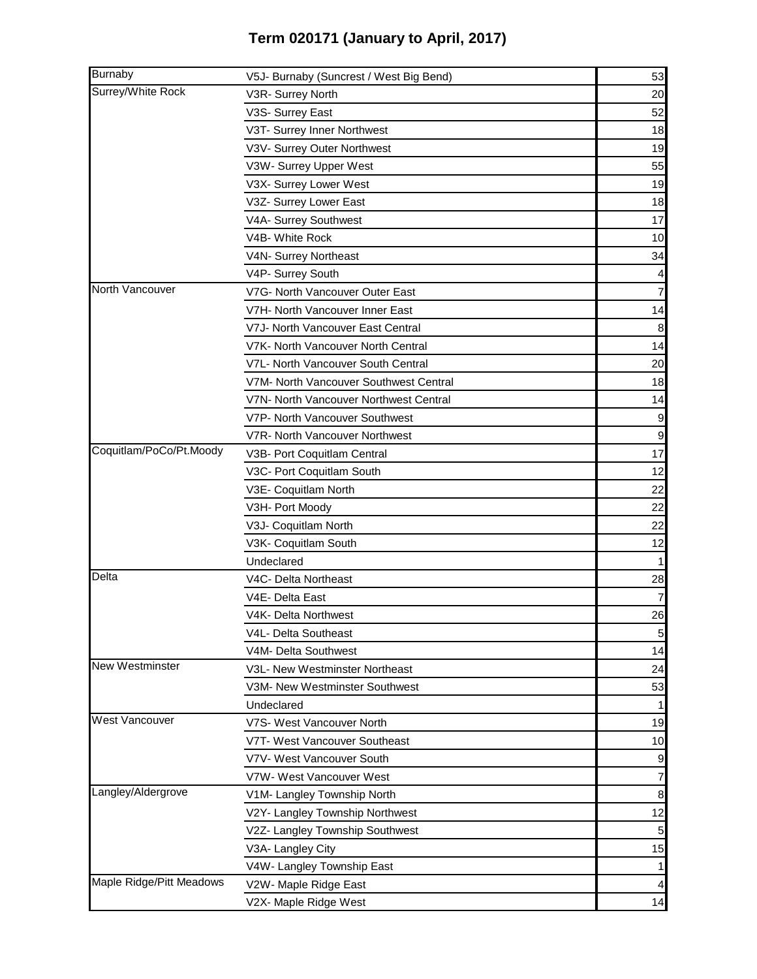| <b>Burnaby</b>           | V5J- Burnaby (Suncrest / West Big Bend) | 53             |
|--------------------------|-----------------------------------------|----------------|
| Surrey/White Rock        | V3R- Surrey North                       | 20             |
|                          | V3S- Surrey East                        | 52             |
|                          | V3T- Surrey Inner Northwest             | 18             |
|                          | V3V- Surrey Outer Northwest             | 19             |
|                          | V3W- Surrey Upper West                  | 55             |
|                          | V3X- Surrey Lower West                  | 19             |
|                          | V3Z- Surrey Lower East                  | 18             |
|                          | V4A- Surrey Southwest                   | 17             |
|                          | V4B- White Rock                         | 10             |
|                          | V4N- Surrey Northeast                   | 34             |
|                          | V4P- Surrey South                       |                |
| North Vancouver          | V7G- North Vancouver Outer East         | 7              |
|                          | V7H- North Vancouver Inner East         | 14             |
|                          | V7J- North Vancouver East Central       | 8              |
|                          | V7K- North Vancouver North Central      | 14             |
|                          | V7L- North Vancouver South Central      | 20             |
|                          | V7M- North Vancouver Southwest Central  | 18             |
|                          | V7N- North Vancouver Northwest Central  | 14             |
|                          | V7P- North Vancouver Southwest          | 9              |
|                          | V7R- North Vancouver Northwest          | $\overline{9}$ |
| Coquitlam/PoCo/Pt.Moody  | V3B- Port Coquitlam Central             | 17             |
|                          | V3C- Port Coquitlam South               | 12             |
|                          | V3E- Coquitlam North                    | 22             |
|                          | V3H- Port Moody                         | 22             |
|                          | V3J- Coquitlam North                    | 22             |
|                          | V3K- Coquitlam South                    | 12             |
|                          | Undeclared                              |                |
| Delta                    | V4C- Delta Northeast                    | 28             |
|                          | V4E- Delta East                         | $\overline{7}$ |
|                          | V4K- Delta Northwest                    | 26             |
|                          | V4L- Delta Southeast                    | 5 <sub>5</sub> |
|                          | V4M- Delta Southwest                    | 14             |
| <b>New Westminster</b>   | V3L- New Westminster Northeast          | 24             |
|                          | V3M- New Westminster Southwest          | 53             |
|                          | Undeclared                              | 1              |
| <b>West Vancouver</b>    | V7S- West Vancouver North               | 19             |
|                          | V7T- West Vancouver Southeast           | 10             |
|                          | V7V- West Vancouver South               | 9              |
|                          | V7W- West Vancouver West                | $\overline{7}$ |
| Langley/Aldergrove       | V1M- Langley Township North             | 8              |
|                          | V2Y- Langley Township Northwest         | 12             |
|                          | V2Z- Langley Township Southwest         | $\overline{5}$ |
|                          | V3A- Langley City                       | 15             |
|                          | V4W- Langley Township East              | $\mathbf{1}$   |
| Maple Ridge/Pitt Meadows | V2W- Maple Ridge East                   |                |
|                          | V2X- Maple Ridge West                   | 14             |